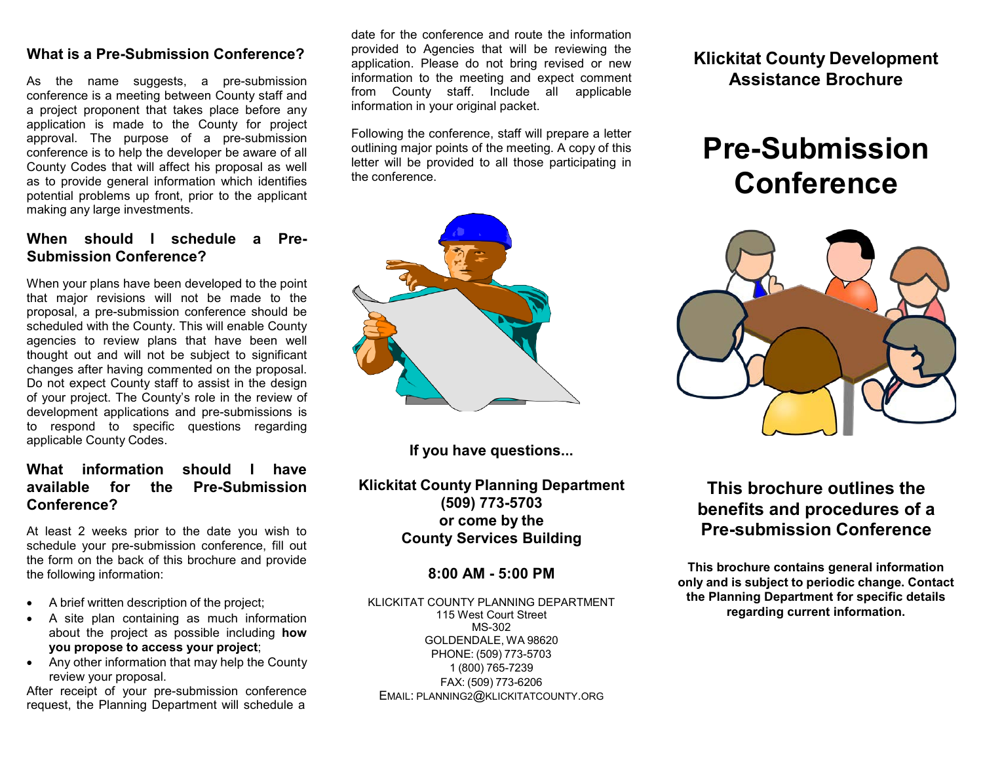### **What is a Pre-Submission Conference?**

As the name suggests, a pre-submission conference is a meeting between County staff and a project proponent that takes place before any application is made to the County for project approval. The purpose of a pre-submission conference is to help the developer be aware of all County Codes that will affect his proposal as well as to provide general information which identifies potential problems up front, prior to the applicant making any large investments.

### **When should I schedule a Pre-Submission Conference?**

When your plans have been developed to the point that major revisions will not be made to the proposal, a pre-submission conference should be scheduled with the County. This will enable County agencies to review plans that have been well thought out and will not be subject to significant changes after having commented on the proposal. Do not expect County staff to assist in the design of your project. The County's role in the review of development applications and pre-submissions is to respond to specific questions regarding applicable County Codes.

### **What information should I have available for the Pre-Submission Conference?**

At least 2 weeks prior to the date you wish to schedule your pre-submission conference, fill out the form on the back of this brochure and provide the following information:

- A brief written description of the project;
- A site plan containing as much information about the project as possible including **how you propose to access your project**;
- Any other information that may help the County review your proposal.

After receipt of your pre-submission conference request, the Planning Department will schedule a

date for the conference and route the information provided to Agencies that will be reviewing the application. Please do not bring revised or new information to the meeting and expect comment from County staff. Include all applicable information in your original packet.

Following the conference, staff will prepare a letter outlining major points of the meeting. A copy of this letter will be provided to all those participating in the conference.

**If you have questions...**

**Klickitat County Planning Department (509) 773-5703 or come by the County Services Building** 

#### **8:00 AM - 5:00 PM**

KLICKITAT COUNTY PLANNING DEPARTMENT 115 West Court Street MS-302 GOLDENDALE, WA 98620 PHONE: (509) 773-5703 1 (800) 765-7239 FAX: (509) 773-6206 EMAIL: [PLANNING2@KLICKITATCOUNTY.ORG](mailto:PLANNING@KLICKITATCOUNTY.ORG)

**Klickitat County Development Assistance Brochure**

# **Pre-Submission Conference**



## **This brochure outlines the benefits and procedures of a Pre-submission Conference**

**This brochure contains general information only and is subject to periodic change. Contact the Planning Department for specific details regarding current information.**